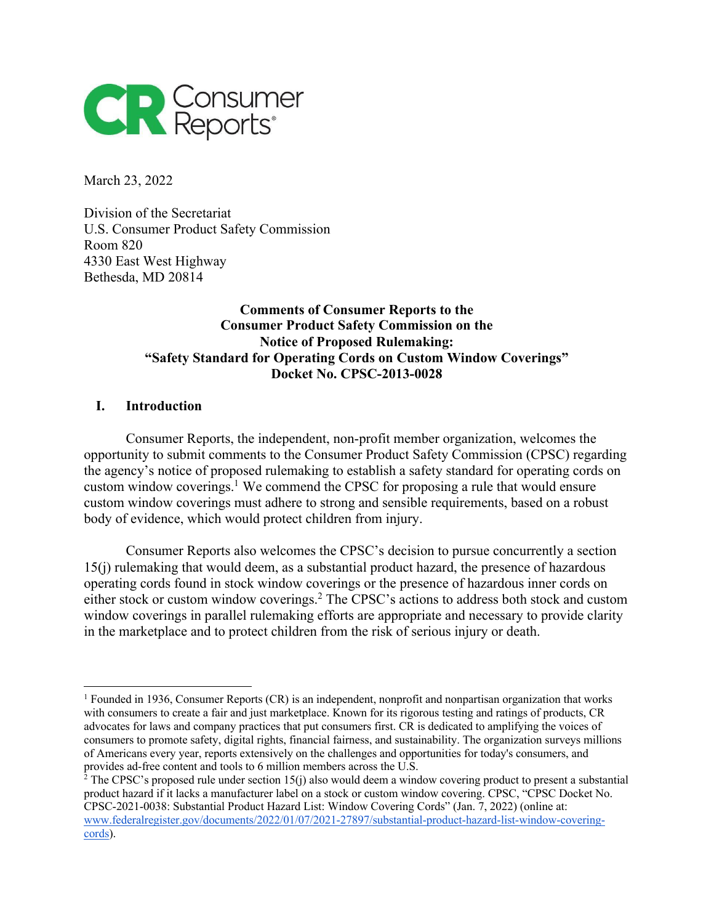

March 23, 2022

Division of the Secretariat U.S. Consumer Product Safety Commission Room 820 4330 East West Highway Bethesda, MD 20814

# **Comments of Consumer Reports to the Consumer Product Safety Commission on the Notice of Proposed Rulemaking: "Safety Standard for Operating Cords on Custom Window Coverings" Docket No. CPSC-2013-0028**

### **I. Introduction**

Consumer Reports, the independent, non-profit member organization, welcomes the opportunity to submit comments to the Consumer Product Safety Commission (CPSC) regarding the agency's notice of proposed rulemaking to establish a safety standard for operating cords on custom window coverings.<sup>1</sup> We commend the CPSC for proposing a rule that would ensure custom window coverings must adhere to strong and sensible requirements, based on a robust body of evidence, which would protect children from injury.

Consumer Reports also welcomes the CPSC's decision to pursue concurrently a section 15(j) rulemaking that would deem, as a substantial product hazard, the presence of hazardous operating cords found in stock window coverings or the presence of hazardous inner cords on either stock or custom window coverings.2 The CPSC's actions to address both stock and custom window coverings in parallel rulemaking efforts are appropriate and necessary to provide clarity in the marketplace and to protect children from the risk of serious injury or death.

<sup>&</sup>lt;sup>1</sup> Founded in 1936, Consumer Reports (CR) is an independent, nonprofit and nonpartisan organization that works with consumers to create a fair and just marketplace. Known for its rigorous testing and ratings of products, CR advocates for laws and company practices that put consumers first. CR is dedicated to amplifying the voices of consumers to promote safety, digital rights, financial fairness, and sustainability. The organization surveys millions of Americans every year, reports extensively on the challenges and opportunities for today's consumers, and provides ad-free content and tools to 6 million members across the U.S.

 $2^2$  The CPSC's proposed rule under section 15(j) also would deem a window covering product to present a substantial product hazard if it lacks a manufacturer label on a stock or custom window covering. CPSC, "CPSC Docket No. CPSC-2021-0038: Substantial Product Hazard List: Window Covering Cords" (Jan. 7, 2022) (online at: www.federalregister.gov/documents/2022/01/07/2021-27897/substantial-product-hazard-list-window-coveringcords).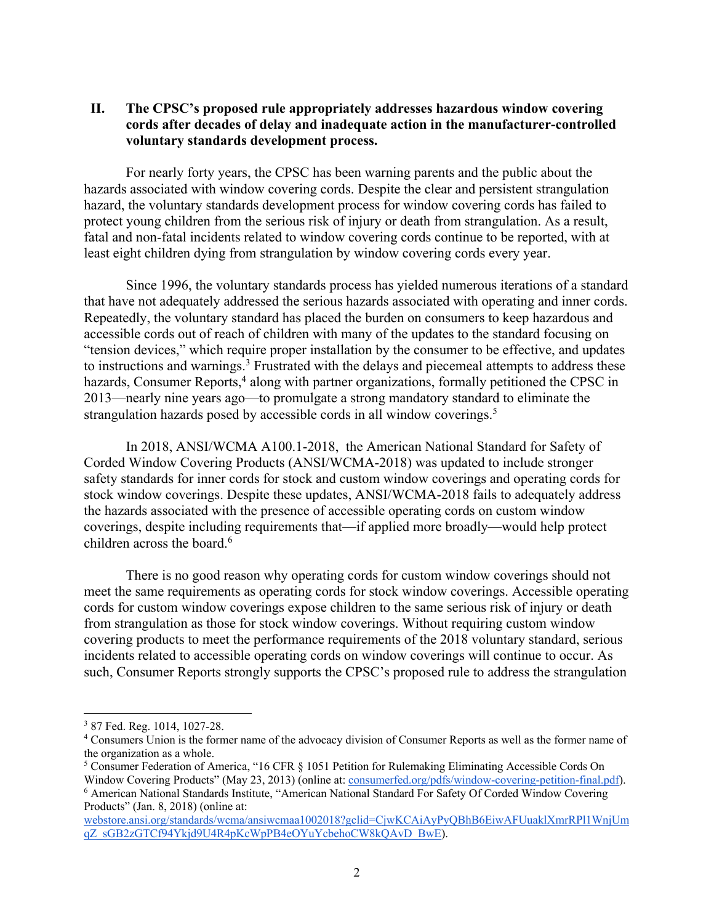## **II. The CPSC's proposed rule appropriately addresses hazardous window covering cords after decades of delay and inadequate action in the manufacturer-controlled voluntary standards development process.**

For nearly forty years, the CPSC has been warning parents and the public about the hazards associated with window covering cords. Despite the clear and persistent strangulation hazard, the voluntary standards development process for window covering cords has failed to protect young children from the serious risk of injury or death from strangulation. As a result, fatal and non-fatal incidents related to window covering cords continue to be reported, with at least eight children dying from strangulation by window covering cords every year.

Since 1996, the voluntary standards process has yielded numerous iterations of a standard that have not adequately addressed the serious hazards associated with operating and inner cords. Repeatedly, the voluntary standard has placed the burden on consumers to keep hazardous and accessible cords out of reach of children with many of the updates to the standard focusing on "tension devices," which require proper installation by the consumer to be effective, and updates to instructions and warnings.<sup>3</sup> Frustrated with the delays and piecemeal attempts to address these hazards, Consumer Reports,<sup>4</sup> along with partner organizations, formally petitioned the CPSC in 2013—nearly nine years ago—to promulgate a strong mandatory standard to eliminate the strangulation hazards posed by accessible cords in all window coverings.<sup>5</sup>

In 2018, ANSI/WCMA A100.1-2018, the American National Standard for Safety of Corded Window Covering Products (ANSI/WCMA-2018) was updated to include stronger safety standards for inner cords for stock and custom window coverings and operating cords for stock window coverings. Despite these updates, ANSI/WCMA-2018 fails to adequately address the hazards associated with the presence of accessible operating cords on custom window coverings, despite including requirements that—if applied more broadly—would help protect children across the board.<sup>6</sup>

There is no good reason why operating cords for custom window coverings should not meet the same requirements as operating cords for stock window coverings. Accessible operating cords for custom window coverings expose children to the same serious risk of injury or death from strangulation as those for stock window coverings. Without requiring custom window covering products to meet the performance requirements of the 2018 voluntary standard, serious incidents related to accessible operating cords on window coverings will continue to occur. As such, Consumer Reports strongly supports the CPSC's proposed rule to address the strangulation

<sup>3</sup> 87 Fed. Reg. 1014, 1027-28.

<sup>4</sup> Consumers Union is the former name of the advocacy division of Consumer Reports as well as the former name of the organization as a whole.

<sup>5</sup> Consumer Federation of America, "16 CFR § 1051 Petition for Rulemaking Eliminating Accessible Cords On Window Covering Products" (May 23, 2013) (online at: consumerfed.org/pdfs/window-covering-petition-final.pdf). <sup>6</sup> American National Standards Institute, "American National Standard For Safety Of Corded Window Covering Products" (Jan. 8, 2018) (online at:

webstore.ansi.org/standards/wcma/ansiwcmaa1002018?gclid=CjwKCAiAyPyQBhB6EiwAFUuaklXmrRPl1WnjUm qZ\_sGB2zGTCf94Ykjd9U4R4pKcWpPB4eOYuYcbehoCW8kQAvD\_BwE).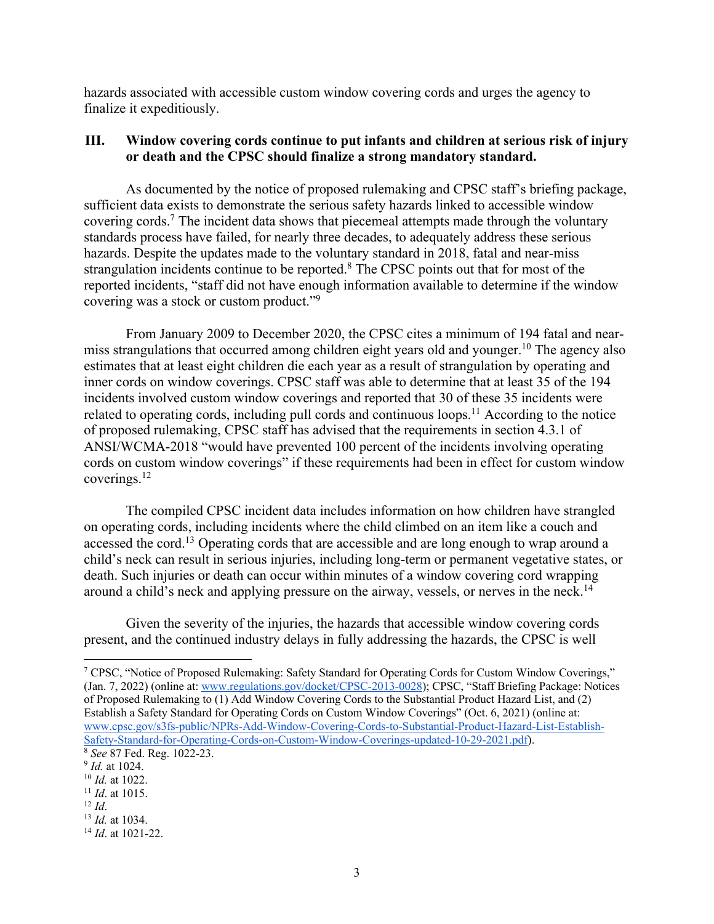hazards associated with accessible custom window covering cords and urges the agency to finalize it expeditiously.

### **III. Window covering cords continue to put infants and children at serious risk of injury or death and the CPSC should finalize a strong mandatory standard.**

As documented by the notice of proposed rulemaking and CPSC staff's briefing package, sufficient data exists to demonstrate the serious safety hazards linked to accessible window covering cords.7 The incident data shows that piecemeal attempts made through the voluntary standards process have failed, for nearly three decades, to adequately address these serious hazards. Despite the updates made to the voluntary standard in 2018, fatal and near-miss strangulation incidents continue to be reported.<sup>8</sup> The CPSC points out that for most of the reported incidents, "staff did not have enough information available to determine if the window covering was a stock or custom product."9

From January 2009 to December 2020, the CPSC cites a minimum of 194 fatal and nearmiss strangulations that occurred among children eight years old and younger.<sup>10</sup> The agency also estimates that at least eight children die each year as a result of strangulation by operating and inner cords on window coverings. CPSC staff was able to determine that at least 35 of the 194 incidents involved custom window coverings and reported that 30 of these 35 incidents were related to operating cords, including pull cords and continuous loops.<sup>11</sup> According to the notice of proposed rulemaking, CPSC staff has advised that the requirements in section 4.3.1 of ANSI/WCMA-2018 "would have prevented 100 percent of the incidents involving operating cords on custom window coverings" if these requirements had been in effect for custom window coverings.12

The compiled CPSC incident data includes information on how children have strangled on operating cords, including incidents where the child climbed on an item like a couch and accessed the cord.<sup>13</sup> Operating cords that are accessible and are long enough to wrap around a child's neck can result in serious injuries, including long-term or permanent vegetative states, or death. Such injuries or death can occur within minutes of a window covering cord wrapping around a child's neck and applying pressure on the airway, vessels, or nerves in the neck.<sup>14</sup>

Given the severity of the injuries, the hazards that accessible window covering cords present, and the continued industry delays in fully addressing the hazards, the CPSC is well

<sup>7</sup> CPSC, "Notice of Proposed Rulemaking: Safety Standard for Operating Cords for Custom Window Coverings," (Jan. 7, 2022) (online at: www.regulations.gov/docket/CPSC-2013-0028); CPSC, "Staff Briefing Package: Notices of Proposed Rulemaking to (1) Add Window Covering Cords to the Substantial Product Hazard List, and (2) Establish a Safety Standard for Operating Cords on Custom Window Coverings" (Oct. 6, 2021) (online at: www.cpsc.gov/s3fs-public/NPRs-Add-Window-Covering-Cords-to-Substantial-Product-Hazard-List-Establish-Safety-Standard-for-Operating-Cords-on-Custom-Window-Coverings-updated-10-29-2021.pdf). <sup>8</sup> *See* 87 Fed. Reg. 1022-23.

<sup>9</sup> *Id.* at 1024.

<sup>10</sup> *Id.* at 1022.

<sup>11</sup> *Id*. at 1015.  $12$  *Id.* 

<sup>13</sup> *Id.* at 1034.

<sup>14</sup> *Id*. at 1021-22.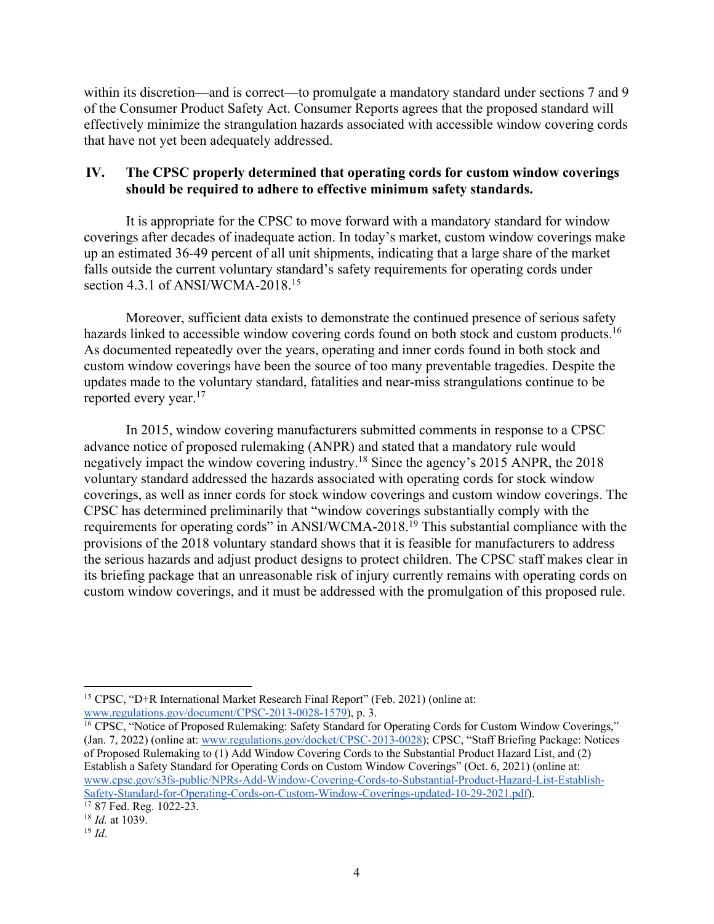within its discretion—and is correct—to promulgate a mandatory standard under sections 7 and 9 of the Consumer Product Safety Act. Consumer Reports agrees that the proposed standard will effectively minimize the strangulation hazards associated with accessible window covering cords that have not yet been adequately addressed.

## **IV. The CPSC properly determined that operating cords for custom window coverings should be required to adhere to effective minimum safety standards.**

It is appropriate for the CPSC to move forward with a mandatory standard for window coverings after decades of inadequate action. In today's market, custom window coverings make up an estimated 36-49 percent of all unit shipments, indicating that a large share of the market falls outside the current voluntary standard's safety requirements for operating cords under section 4.3.1 of ANSI/WCMA-2018.<sup>15</sup>

Moreover, sufficient data exists to demonstrate the continued presence of serious safety hazards linked to accessible window covering cords found on both stock and custom products.<sup>16</sup> As documented repeatedly over the years, operating and inner cords found in both stock and custom window coverings have been the source of too many preventable tragedies. Despite the updates made to the voluntary standard, fatalities and near-miss strangulations continue to be reported every year.17

In 2015, window covering manufacturers submitted comments in response to a CPSC advance notice of proposed rulemaking (ANPR) and stated that a mandatory rule would negatively impact the window covering industry.18 Since the agency's 2015 ANPR, the 2018 voluntary standard addressed the hazards associated with operating cords for stock window coverings, as well as inner cords for stock window coverings and custom window coverings. The CPSC has determined preliminarily that "window coverings substantially comply with the requirements for operating cords" in ANSI/WCMA-2018.19 This substantial compliance with the provisions of the 2018 voluntary standard shows that it is feasible for manufacturers to address the serious hazards and adjust product designs to protect children. The CPSC staff makes clear in its briefing package that an unreasonable risk of injury currently remains with operating cords on custom window coverings, and it must be addressed with the promulgation of this proposed rule.

<sup>15</sup> CPSC, "D+R International Market Research Final Report" (Feb. 2021) (online at: www.regulations.gov/document/CPSC-2013-0028-1579), p. 3.

<sup>&</sup>lt;sup>16</sup> CPSC, "Notice of Proposed Rulemaking: Safety Standard for Operating Cords for Custom Window Coverings," (Jan. 7, 2022) (online at: www.regulations.gov/docket/CPSC-2013-0028); CPSC, "Staff Briefing Package: Notices of Proposed Rulemaking to (1) Add Window Covering Cords to the Substantial Product Hazard List, and (2) Establish a Safety Standard for Operating Cords on Custom Window Coverings" (Oct. 6, 2021) (online at: www.cpsc.gov/s3fs-public/NPRs-Add-Window-Covering-Cords-to-Substantial-Product-Hazard-List-Establish-Safety-Standard-for-Operating-Cords-on-Custom-Window-Coverings-updated-10-29-2021.pdf).

 $17$  87 Fed. Reg. 1022-23.

<sup>18</sup> *Id.* at 1039. 19 *Id*.